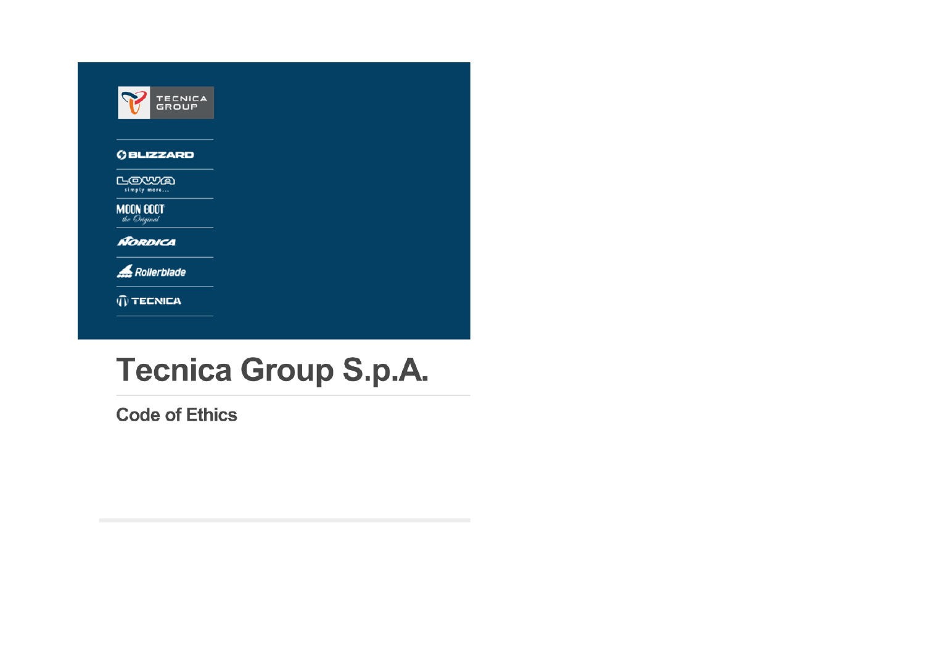|                                  | <b>TECNICA</b><br>GROUP |
|----------------------------------|-------------------------|
|                                  | <b>GBLIZZARD</b>        |
| LOWA<br>simply more              |                         |
| <b>MOON BOOT</b><br>the Original |                         |
| <b>NORDICA</b>                   |                         |
|                                  | Rollerblade             |
|                                  | ECNICA                  |

# **Tecnica Group S.p.A.**

**Code of Ethics**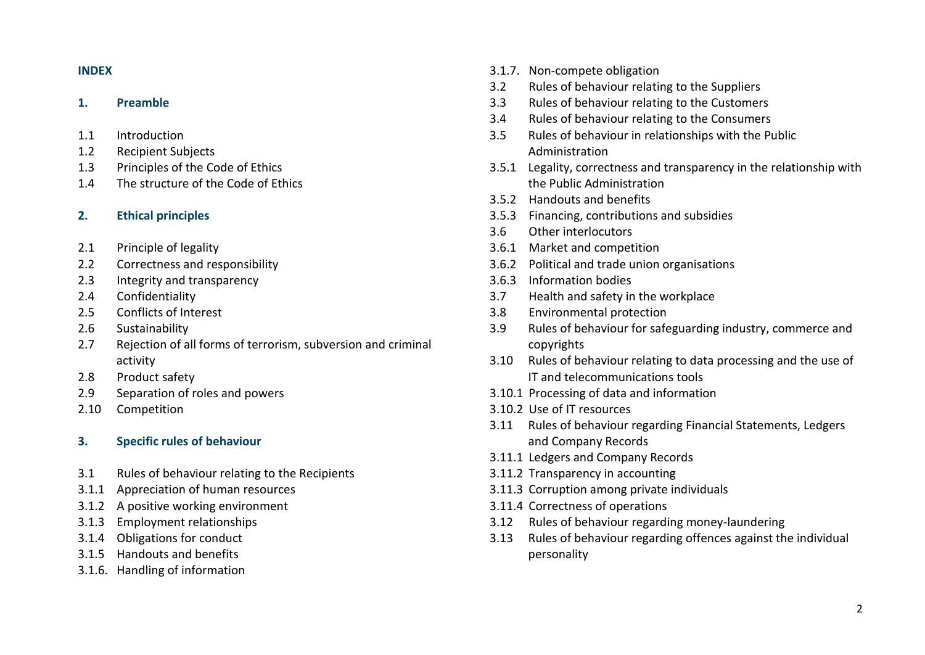# **INDEX**

## **1. Preamble**

- 1.1 Introduction
- 1.2 Recipient Subjects
- 1.3 Principles of the Code of Ethics
- 1.4 The structure of the Code of Ethics

# **2. Ethical principles**

- 2.1 Principle of legality
- 2.2 Correctness and responsibility
- 2.3 Integrity and transparency
- 2.4 Confidentiality
- 2.5 Conflicts of Interest
- 2.6 Sustainability
- 2.7 Rejection of all forms of terrorism, subversion and criminal activity
- 2.8 Product safety
- 2.9 Separation of roles and powers
- 2.10 Competition

## **3. Specific rules of behaviour**

- 3.1 Rules of behaviour relating to the Recipients
- 3.1.1 Appreciation of human resources
- 3.1.2 A positive working environment
- 3.1.3 Employment relationships
- 3.1.4 Obligations for conduct
- 3.1.5 Handouts and benefits
- 3.1.6. Handling of information
- 3.1.7. Non-compete obligation
- 3.2 Rules of behaviour relating to the Suppliers
- 3.3 Rules of behaviour relating to the Customers
- 3.4 Rules of behaviour relating to the Consumers
- 3.5 Rules of behaviour in relationships with the Public Administration
- 3.5.1 Legality, correctness and transparency in the relationship with the Public Administration
- 3.5.2 Handouts and benefits
- 3.5.3 Financing, contributions and subsidies
- 3.6 Other interlocutors
- 3.6.1 Market and competition
- 3.6.2 Political and trade union organisations
- 3.6.3 Information bodies
- 3.7 Health and safety in the workplace
- 3.8 Environmental protection
- 3.9 Rules of behaviour for safeguarding industry, commerce and copyrights
- 3.10 Rules of behaviour relating to data processing and the use of IT and telecommunications tools
- 3.10.1 Processing of data and information
- 3.10.2 Use of IT resources
- 3.11 Rules of behaviour regarding Financial Statements, Ledgers and Company Records
- 3.11.1 Ledgers and Company Records
- 3.11.2 Transparency in accounting
- 3.11.3 Corruption among private individuals
- 3.11.4 Correctness of operations
- 3.12 Rules of behaviour regarding money-laundering
- 3.13 Rules of behaviour regarding offences against the individual personality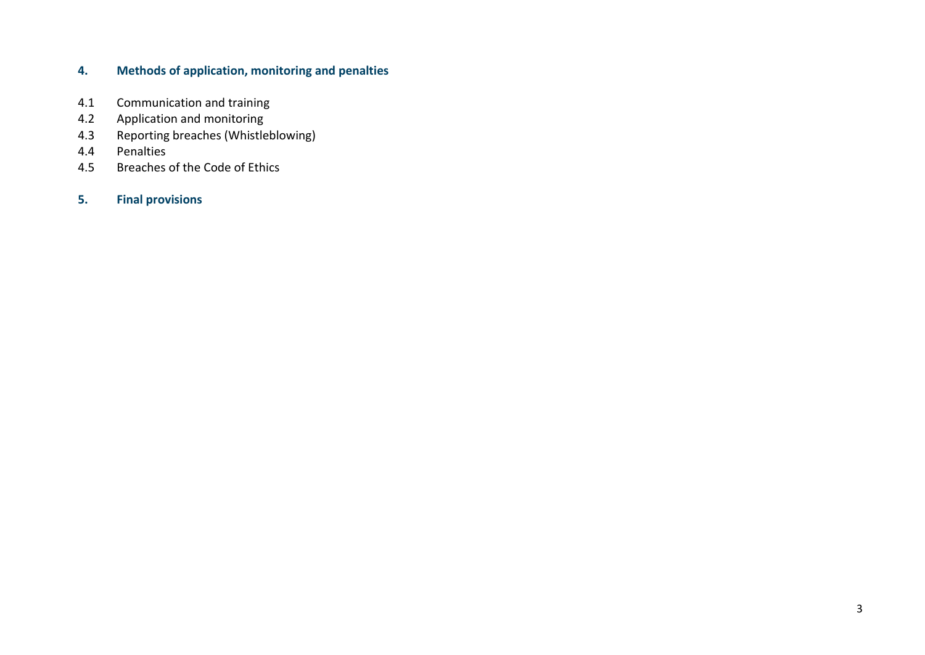# **4. Methods of application, monitoring and penalties**

- 4.1 Communication and training
- 4.2 Application and monitoring
- 4.3 Reporting breaches (Whistleblowing)
- 4.4 Penalties
- 4.5 Breaches of the Code of Ethics

# **5. Final provisions**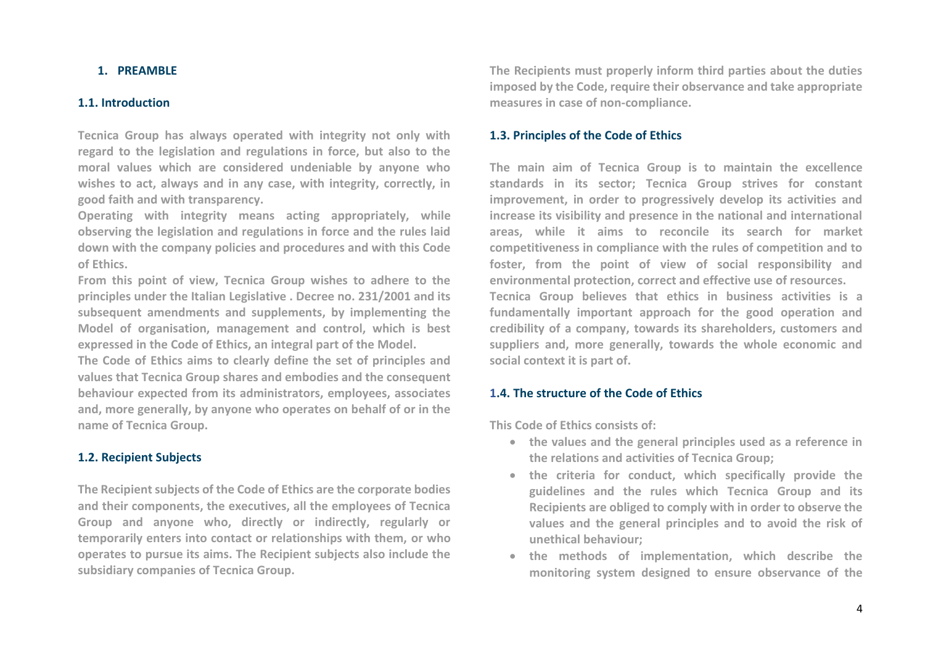# **1. PREAMBLE**

## **1.1. Introduction**

**Tecnica Group has always operated with integrity not only with regard to the legislation and regulations in force, but also to the moral values which are considered undeniable by anyone who wishes to act, always and in any case, with integrity, correctly, in good faith and with transparency.**

**Operating with integrity means acting appropriately, while observing the legislation and regulations in force and the rules laid down with the company policies and procedures and with this Code of Ethics.**

**From this point of view, Tecnica Group wishes to adhere to the principles under the Italian Legislative . Decree no. 231/2001 and its subsequent amendments and supplements, by implementing the Model of organisation, management and control, which is best expressed in the Code of Ethics, an integral part of the Model.**

**The Code of Ethics aims to clearly define the set of principles and values that Tecnica Group shares and embodies and the consequent behaviour expected from its administrators, employees, associates and, more generally, by anyone who operates on behalf of or in the name of Tecnica Group.**

## **1.2. Recipient Subjects**

**The Recipient subjects of the Code of Ethics are the corporate bodies and their components, the executives, all the employees of Tecnica Group and anyone who, directly or indirectly, regularly or temporarily enters into contact or relationships with them, or who operates to pursue its aims. The Recipient subjects also include the subsidiary companies of Tecnica Group.**

**The Recipients must properly inform third parties about the duties imposed by the Code, require their observance and take appropriate measures in case of non-compliance.** 

# **1.3. Principles of the Code of Ethics**

**The main aim of Tecnica Group is to maintain the excellence standards in its sector; Tecnica Group strives for constant improvement, in order to progressively develop its activities and increase its visibility and presence in the national and international areas, while it aims to reconcile its search for market competitiveness in compliance with the rules of competition and to foster, from the point of view of social responsibility and environmental protection, correct and effective use of resources.**

**Tecnica Group believes that ethics in business activities is a fundamentally important approach for the good operation and credibility of a company, towards its shareholders, customers and suppliers and, more generally, towards the whole economic and social context it is part of.** 

## **1.4. The structure of the Code of Ethics**

**This Code of Ethics consists of:**

- **the values and the general principles used as a reference in the relations and activities of Tecnica Group;**
- **the criteria for conduct, which specifically provide the guidelines and the rules which Tecnica Group and its Recipients are obliged to comply with in order to observe the values and the general principles and to avoid the risk of unethical behaviour;**
- **the methods of implementation, which describe the monitoring system designed to ensure observance of the**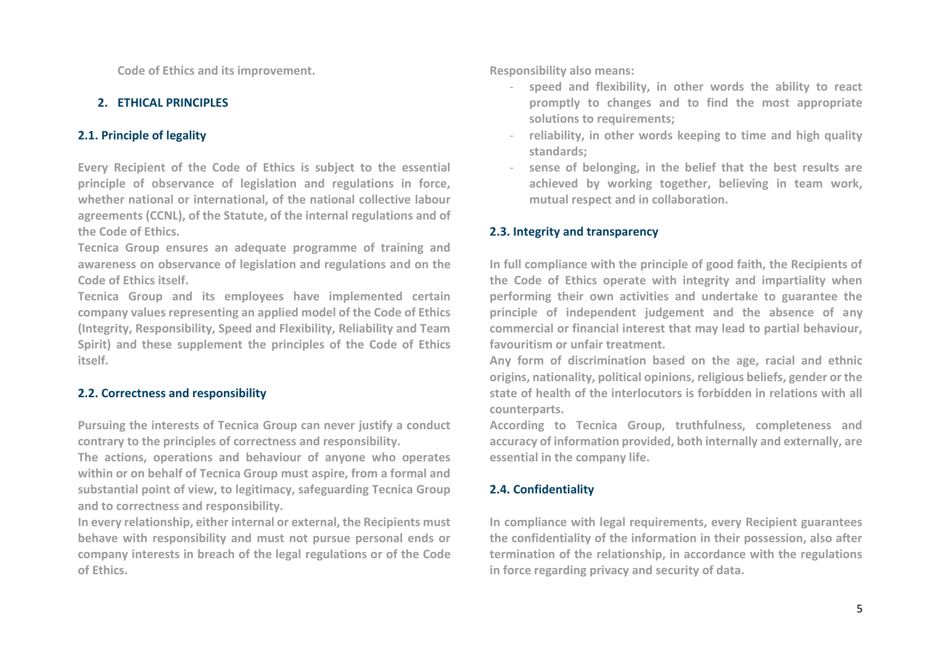**Code of Ethics and its improvement.**

# **2. ETHICAL PRINCIPLES**

# **2.1. Principle of legality**

**Every Recipient of the Code of Ethics is subject to the essential principle of observance of legislation and regulations in force, whether national or international, of the national collective labour agreements (CCNL), of the Statute, of the internal regulations and of the Code of Ethics.**

**Tecnica Group ensures an adequate programme of training and awareness on observance of legislation and regulations and on the Code of Ethics itself.**

**Tecnica Group and its employees have implemented certain company values representing an applied model of the Code of Ethics (Integrity, Responsibility, Speed and Flexibility, Reliability and Team Spirit) and these supplement the principles of the Code of Ethics itself.** 

# **2.2. Correctness and responsibility**

**Pursuing the interests of Tecnica Group can never justify a conduct contrary to the principles of correctness and responsibility.**

**The actions, operations and behaviour of anyone who operates within or on behalf of Tecnica Group must aspire, from a formal and substantial point of view, to legitimacy, safeguarding Tecnica Group and to correctness and responsibility.** 

**In every relationship, either internal or external, the Recipients must behave with responsibility and must not pursue personal ends or company interests in breach of the legal regulations or of the Code of Ethics.**

**Responsibility also means:**

- **speed and flexibility, in other words the ability to react promptly to changes and to find the most appropriate solutions to requirements;**
- **reliability, in other words keeping to time and high quality standards;**
- **sense of belonging, in the belief that the best results are achieved by working together, believing in team work, mutual respect and in collaboration.**

# **2.3. Integrity and transparency**

**In full compliance with the principle of good faith, the Recipients of the Code of Ethics operate with integrity and impartiality when performing their own activities and undertake to guarantee the principle of independent judgement and the absence of any commercial or financial interest that may lead to partial behaviour, favouritism or unfair treatment.**

**Any form of discrimination based on the age, racial and ethnic origins, nationality, political opinions, religious beliefs, gender or the state of health of the interlocutors is forbidden in relations with all counterparts.**

**According to Tecnica Group, truthfulness, completeness and accuracy of information provided, both internally and externally, are essential in the company life.** 

# **2.4. Confidentiality**

**In compliance with legal requirements, every Recipient guarantees the confidentiality of the information in their possession, also after termination of the relationship, in accordance with the regulations in force regarding privacy and security of data.**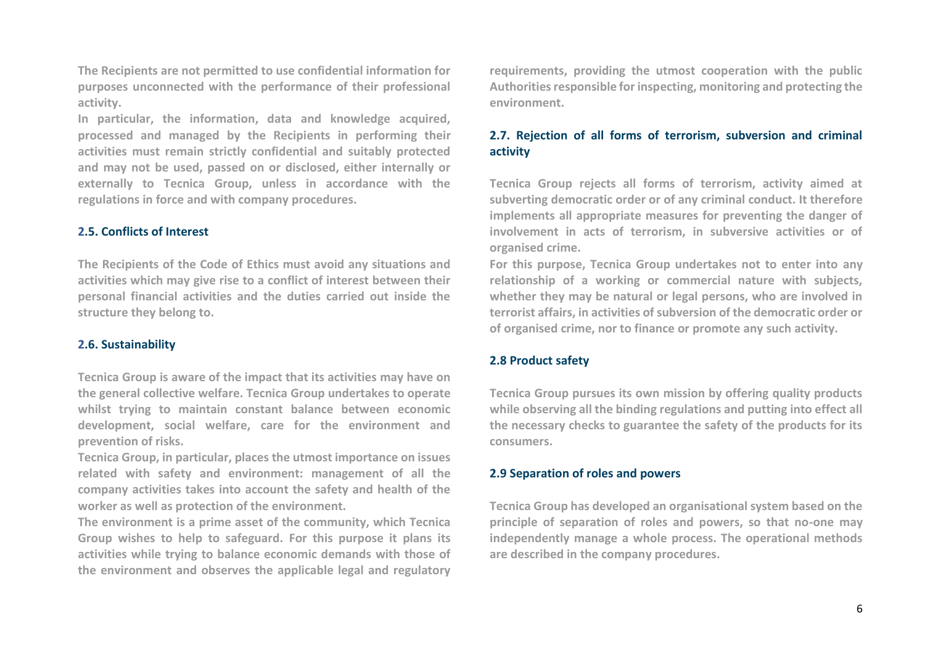**The Recipients are not permitted to use confidential information for purposes unconnected with the performance of their professional activity.** 

**In particular, the information, data and knowledge acquired, processed and managed by the Recipients in performing their activities must remain strictly confidential and suitably protected and may not be used, passed on or disclosed, either internally or externally to Tecnica Group, unless in accordance with the regulations in force and with company procedures.**

## **2.5. Conflicts of Interest**

**The Recipients of the Code of Ethics must avoid any situations and activities which may give rise to a conflict of interest between their personal financial activities and the duties carried out inside the structure they belong to.** 

## **2.6. Sustainability**

**Tecnica Group is aware of the impact that its activities may have on the general collective welfare. Tecnica Group undertakes to operate whilst trying to maintain constant balance between economic development, social welfare, care for the environment and prevention of risks.**

**Tecnica Group, in particular, places the utmost importance on issues related with safety and environment: management of all the company activities takes into account the safety and health of the worker as well as protection of the environment.**

**The environment is a prime asset of the community, which Tecnica Group wishes to help to safeguard. For this purpose it plans its activities while trying to balance economic demands with those of the environment and observes the applicable legal and regulatory**  **requirements, providing the utmost cooperation with the public Authorities responsible for inspecting, monitoring and protecting the environment.** 

# **2.7. Rejection of all forms of terrorism, subversion and criminal activity**

**Tecnica Group rejects all forms of terrorism, activity aimed at subverting democratic order or of any criminal conduct. It therefore implements all appropriate measures for preventing the danger of involvement in acts of terrorism, in subversive activities or of organised crime.**

**For this purpose, Tecnica Group undertakes not to enter into any relationship of a working or commercial nature with subjects, whether they may be natural or legal persons, who are involved in terrorist affairs, in activities of subversion of the democratic order or of organised crime, nor to finance or promote any such activity.**

## **2.8 Product safety**

**Tecnica Group pursues its own mission by offering quality products while observing all the binding regulations and putting into effect all the necessary checks to guarantee the safety of the products for its consumers.**

#### **2.9 Separation of roles and powers**

**Tecnica Group has developed an organisational system based on the principle of separation of roles and powers, so that no-one may independently manage a whole process. The operational methods are described in the company procedures.**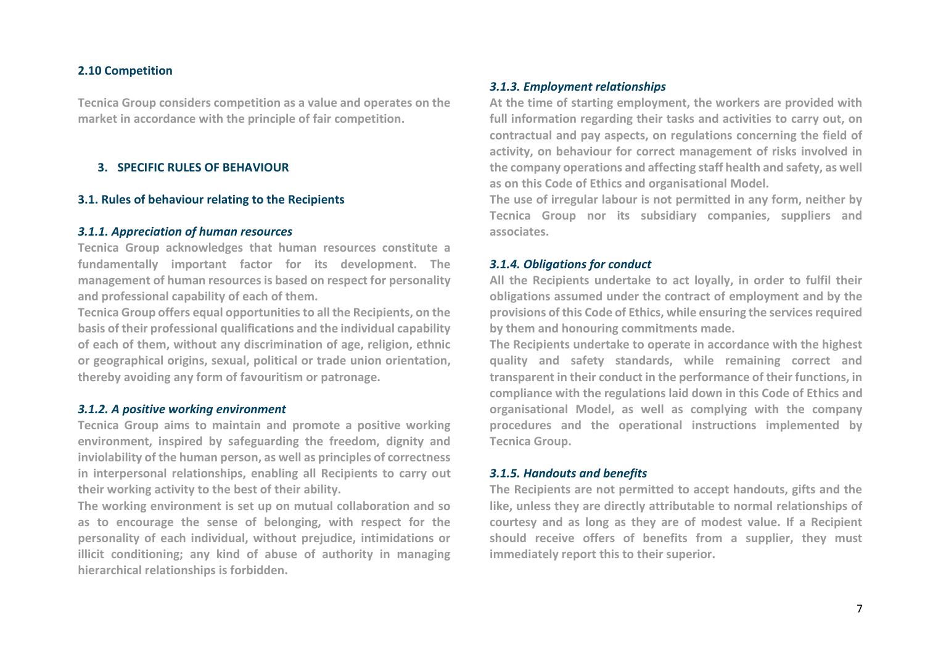#### **2.10 Competition**

**Tecnica Group considers competition as a value and operates on the market in accordance with the principle of fair competition.**

## **3. SPECIFIC RULES OF BEHAVIOUR**

#### **3.1. Rules of behaviour relating to the Recipients**

## *3.1.1. Appreciation of human resources*

**Tecnica Group acknowledges that human resources constitute a fundamentally important factor for its development. The management of human resources is based on respect for personality and professional capability of each of them.**

**Tecnica Group offers equal opportunities to all the Recipients, on the basis of their professional qualifications and the individual capability of each of them, without any discrimination of age, religion, ethnic or geographical origins, sexual, political or trade union orientation, thereby avoiding any form of favouritism or patronage.**

## *3.1.2. A positive working environment*

**Tecnica Group aims to maintain and promote a positive working environment, inspired by safeguarding the freedom, dignity and inviolability of the human person, as well as principles of correctness in interpersonal relationships, enabling all Recipients to carry out their working activity to the best of their ability.**

**The working environment is set up on mutual collaboration and so as to encourage the sense of belonging, with respect for the personality of each individual, without prejudice, intimidations or illicit conditioning; any kind of abuse of authority in managing hierarchical relationships is forbidden.**

## *3.1.3. Employment relationships*

**At the time of starting employment, the workers are provided with full information regarding their tasks and activities to carry out, on contractual and pay aspects, on regulations concerning the field of activity, on behaviour for correct management of risks involved in the company operations and affecting staff health and safety, as well as on this Code of Ethics and organisational Model.** 

**The use of irregular labour is not permitted in any form, neither by Tecnica Group nor its subsidiary companies, suppliers and associates.**

## *3.1.4. Obligations for conduct*

**All the Recipients undertake to act loyally, in order to fulfil their obligations assumed under the contract of employment and by the provisions of this Code of Ethics, while ensuring the services required by them and honouring commitments made.**

**The Recipients undertake to operate in accordance with the highest quality and safety standards, while remaining correct and transparent in their conduct in the performance of their functions, in compliance with the regulations laid down in this Code of Ethics and organisational Model, as well as complying with the company procedures and the operational instructions implemented by Tecnica Group.**

#### *3.1.5. Handouts and benefits*

**The Recipients are not permitted to accept handouts, gifts and the like, unless they are directly attributable to normal relationships of courtesy and as long as they are of modest value. If a Recipient should receive offers of benefits from a supplier, they must immediately report this to their superior.**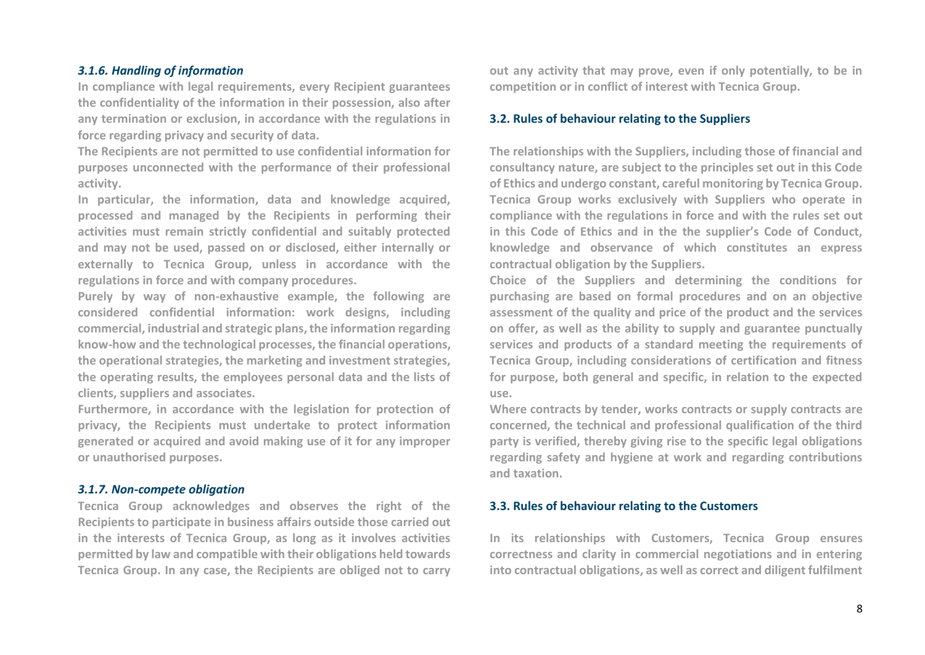# *3.1.6. Handling of information*

**In compliance with legal requirements, every Recipient guarantees the confidentiality of the information in their possession, also after any termination or exclusion, in accordance with the regulations in force regarding privacy and security of data.** 

**The Recipients are not permitted to use confidential information for purposes unconnected with the performance of their professional activity.** 

**In particular, the information, data and knowledge acquired, processed and managed by the Recipients in performing their activities must remain strictly confidential and suitably protected and may not be used, passed on or disclosed, either internally or externally to Tecnica Group, unless in accordance with the regulations in force and with company procedures.**

**Purely by way of non-exhaustive example, the following are considered confidential information: work designs, including commercial, industrial and strategic plans, the information regarding know-how and the technological processes, the financial operations, the operational strategies, the marketing and investment strategies, the operating results, the employees personal data and the lists of clients, suppliers and associates.**

**Furthermore, in accordance with the legislation for protection of privacy, the Recipients must undertake to protect information generated or acquired and avoid making use of it for any improper or unauthorised purposes.**

#### *3.1.7. Non-compete obligation*

**Tecnica Group acknowledges and observes the right of the Recipients to participate in business affairs outside those carried out in the interests of Tecnica Group, as long as it involves activities permitted by law and compatible with their obligations held towards Tecnica Group. In any case, the Recipients are obliged not to carry**  **out any activity that may prove, even if only potentially, to be in competition or in conflict of interest with Tecnica Group.**

## **3.2. Rules of behaviour relating to the Suppliers**

**The relationships with the Suppliers, including those of financial and consultancy nature, are subject to the principles set out in this Code of Ethics and undergo constant, careful monitoring by Tecnica Group. Tecnica Group works exclusively with Suppliers who operate in compliance with the regulations in force and with the rules set out in this Code of Ethics and in the the supplier's Code of Conduct, knowledge and observance of which constitutes an express contractual obligation by the Suppliers.**

**Choice of the Suppliers and determining the conditions for purchasing are based on formal procedures and on an objective assessment of the quality and price of the product and the services on offer, as well as the ability to supply and guarantee punctually services and products of a standard meeting the requirements of Tecnica Group, including considerations of certification and fitness for purpose, both general and specific, in relation to the expected use.** 

**Where contracts by tender, works contracts or supply contracts are concerned, the technical and professional qualification of the third party is verified, thereby giving rise to the specific legal obligations regarding safety and hygiene at work and regarding contributions and taxation.**

#### **3.3. Rules of behaviour relating to the Customers**

**In its relationships with Customers, Tecnica Group ensures correctness and clarity in commercial negotiations and in entering into contractual obligations, as well as correct and diligent fulfilment**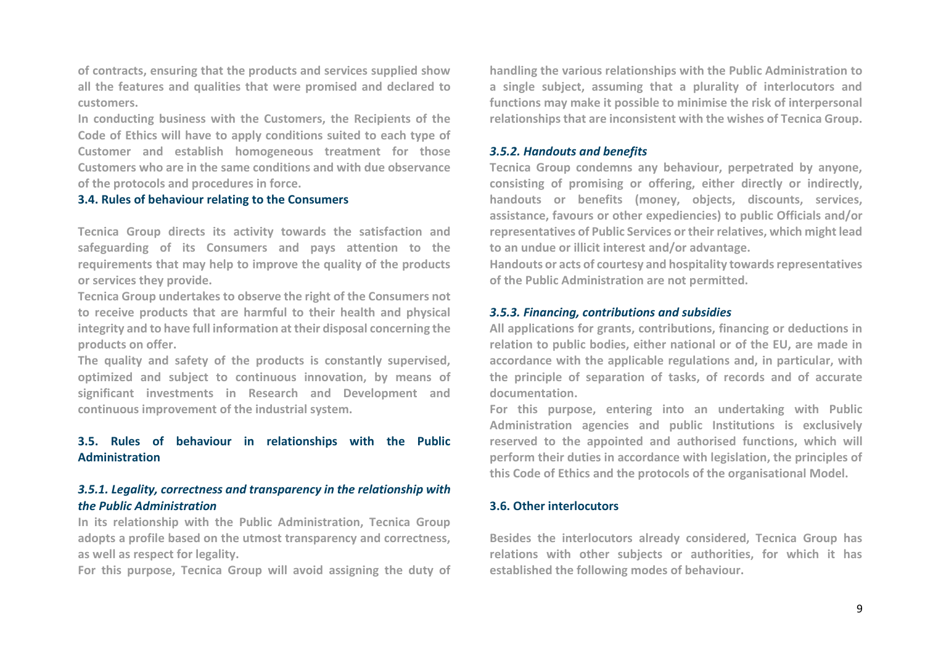**of contracts, ensuring that the products and services supplied show all the features and qualities that were promised and declared to customers.**

**In conducting business with the Customers, the Recipients of the Code of Ethics will have to apply conditions suited to each type of Customer and establish homogeneous treatment for those Customers who are in the same conditions and with due observance of the protocols and procedures in force.** 

#### **3.4. Rules of behaviour relating to the Consumers**

**Tecnica Group directs its activity towards the satisfaction and safeguarding of its Consumers and pays attention to the requirements that may help to improve the quality of the products or services they provide.** 

**Tecnica Group undertakes to observe the right of the Consumers not to receive products that are harmful to their health and physical integrity and to have full information at their disposal concerning the products on offer.**

**The quality and safety of the products is constantly supervised, optimized and subject to continuous innovation, by means of significant investments in Research and Development and continuous improvement of the industrial system.** 

# **3.5. Rules of behaviour in relationships with the Public Administration**

# *3.5.1. Legality, correctness and transparency in the relationship with the Public Administration*

**In its relationship with the Public Administration, Tecnica Group adopts a profile based on the utmost transparency and correctness, as well as respect for legality.** 

**For this purpose, Tecnica Group will avoid assigning the duty of** 

**handling the various relationships with the Public Administration to a single subject, assuming that a plurality of interlocutors and functions may make it possible to minimise the risk of interpersonal relationships that are inconsistent with the wishes of Tecnica Group.** 

#### *3.5.2. Handouts and benefits*

**Tecnica Group condemns any behaviour, perpetrated by anyone, consisting of promising or offering, either directly or indirectly, handouts or benefits (money, objects, discounts, services, assistance, favours or other expediencies) to public Officials and/or representatives of Public Services or their relatives, which might lead to an undue or illicit interest and/or advantage.** 

**Handouts or acts of courtesy and hospitality towards representatives of the Public Administration are not permitted.**

#### *3.5.3. Financing, contributions and subsidies*

**All applications for grants, contributions, financing or deductions in relation to public bodies, either national or of the EU, are made in accordance with the applicable regulations and, in particular, with the principle of separation of tasks, of records and of accurate documentation.**

**For this purpose, entering into an undertaking with Public Administration agencies and public Institutions is exclusively reserved to the appointed and authorised functions, which will perform their duties in accordance with legislation, the principles of this Code of Ethics and the protocols of the organisational Model.**

#### **3.6. Other interlocutors**

**Besides the interlocutors already considered, Tecnica Group has relations with other subjects or authorities, for which it has established the following modes of behaviour.**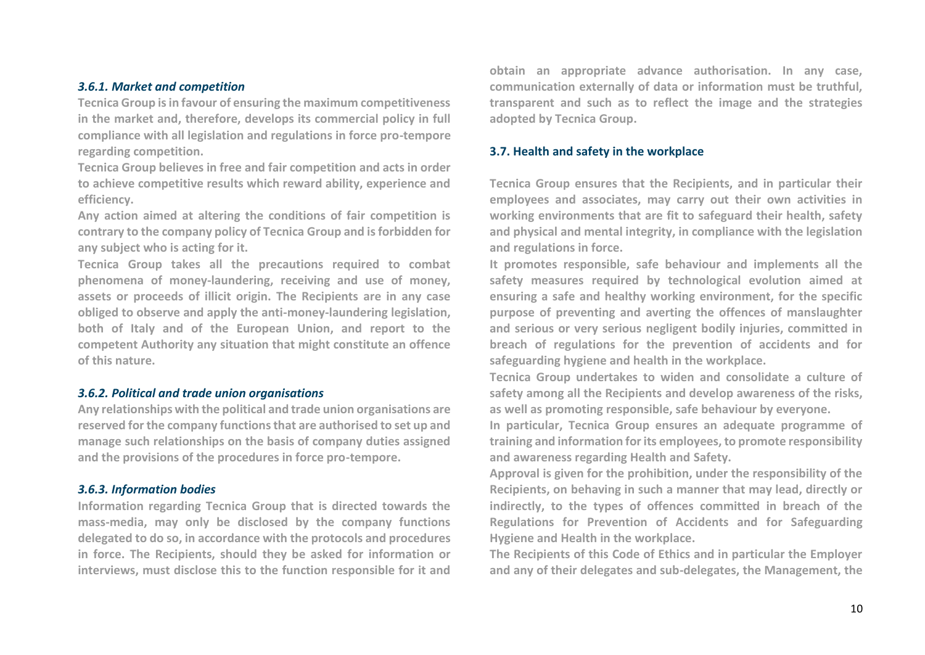# *3.6.1. Market and competition*

**Tecnica Group is in favour of ensuring the maximum competitiveness in the market and, therefore, develops its commercial policy in full compliance with all legislation and regulations in force pro-tempore regarding competition.**

**Tecnica Group believes in free and fair competition and acts in order to achieve competitive results which reward ability, experience and efficiency.**

**Any action aimed at altering the conditions of fair competition is contrary to the company policy of Tecnica Group and is forbidden for any subject who is acting for it.**

**Tecnica Group takes all the precautions required to combat phenomena of money-laundering, receiving and use of money, assets or proceeds of illicit origin. The Recipients are in any case obliged to observe and apply the anti-money-laundering legislation, both of Italy and of the European Union, and report to the competent Authority any situation that might constitute an offence of this nature.**

#### *3.6.2. Political and trade union organisations*

**Any relationships with the political and trade union organisations are reserved for the company functions that are authorised to set up and manage such relationships on the basis of company duties assigned and the provisions of the procedures in force pro-tempore.**

#### *3.6.3. Information bodies*

**Information regarding Tecnica Group that is directed towards the mass-media, may only be disclosed by the company functions delegated to do so, in accordance with the protocols and procedures in force. The Recipients, should they be asked for information or interviews, must disclose this to the function responsible for it and** 

**obtain an appropriate advance authorisation. In any case, communication externally of data or information must be truthful, transparent and such as to reflect the image and the strategies adopted by Tecnica Group.**

## **3.7. Health and safety in the workplace**

**Tecnica Group ensures that the Recipients, and in particular their employees and associates, may carry out their own activities in working environments that are fit to safeguard their health, safety and physical and mental integrity, in compliance with the legislation and regulations in force.** 

**It promotes responsible, safe behaviour and implements all the safety measures required by technological evolution aimed at ensuring a safe and healthy working environment, for the specific purpose of preventing and averting the offences of manslaughter and serious or very serious negligent bodily injuries, committed in breach of regulations for the prevention of accidents and for safeguarding hygiene and health in the workplace.**

**Tecnica Group undertakes to widen and consolidate a culture of safety among all the Recipients and develop awareness of the risks, as well as promoting responsible, safe behaviour by everyone.**

**In particular, Tecnica Group ensures an adequate programme of training and information for its employees, to promote responsibility and awareness regarding Health and Safety.**

**Approval is given for the prohibition, under the responsibility of the Recipients, on behaving in such a manner that may lead, directly or indirectly, to the types of offences committed in breach of the Regulations for Prevention of Accidents and for Safeguarding Hygiene and Health in the workplace.**

**The Recipients of this Code of Ethics and in particular the Employer and any of their delegates and sub-delegates, the Management, the**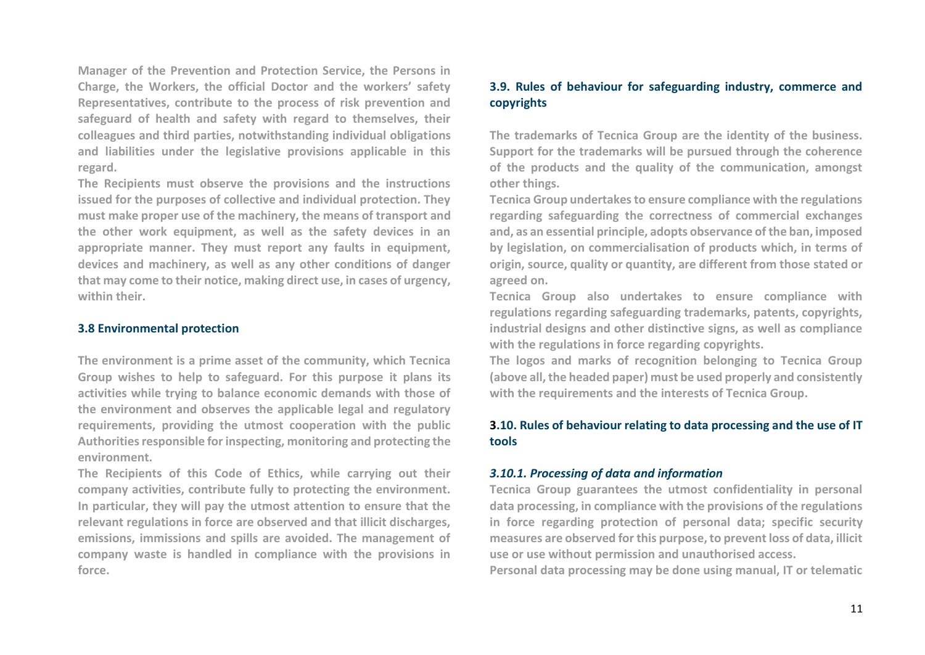**Manager of the Prevention and Protection Service, the Persons in Charge, the Workers, the official Doctor and the workers' safety Representatives, contribute to the process of risk prevention and safeguard of health and safety with regard to themselves, their colleagues and third parties, notwithstanding individual obligations and liabilities under the legislative provisions applicable in this regard.** 

**The Recipients must observe the provisions and the instructions issued for the purposes of collective and individual protection. They must make proper use of the machinery, the means of transport and the other work equipment, as well as the safety devices in an appropriate manner. They must report any faults in equipment, devices and machinery, as well as any other conditions of danger that may come to their notice, making direct use, in cases of urgency, within their.**

## **3.8 Environmental protection**

**The environment is a prime asset of the community, which Tecnica Group wishes to help to safeguard. For this purpose it plans its activities while trying to balance economic demands with those of the environment and observes the applicable legal and regulatory requirements, providing the utmost cooperation with the public Authorities responsible for inspecting, monitoring and protecting the environment.** 

**The Recipients of this Code of Ethics, while carrying out their company activities, contribute fully to protecting the environment. In particular, they will pay the utmost attention to ensure that the relevant regulations in force are observed and that illicit discharges, emissions, immissions and spills are avoided. The management of company waste is handled in compliance with the provisions in force.**

# **3.9. Rules of behaviour for safeguarding industry, commerce and copyrights**

**The trademarks of Tecnica Group are the identity of the business. Support for the trademarks will be pursued through the coherence of the products and the quality of the communication, amongst other things.** 

**Tecnica Group undertakes to ensure compliance with the regulations regarding safeguarding the correctness of commercial exchanges and, as an essential principle, adopts observance of the ban, imposed by legislation, on commercialisation of products which, in terms of origin, source, quality or quantity, are different from those stated or agreed on.**

**Tecnica Group also undertakes to ensure compliance with regulations regarding safeguarding trademarks, patents, copyrights, industrial designs and other distinctive signs, as well as compliance with the regulations in force regarding copyrights.**

**The logos and marks of recognition belonging to Tecnica Group (above all, the headed paper) must be used properly and consistently with the requirements and the interests of Tecnica Group.**

# **3.10. Rules of behaviour relating to data processing and the use of IT tools**

## *3.10.1. Processing of data and information*

**Tecnica Group guarantees the utmost confidentiality in personal data processing, in compliance with the provisions of the regulations in force regarding protection of personal data; specific security measures are observed for this purpose, to prevent loss of data, illicit use or use without permission and unauthorised access.**

**Personal data processing may be done using manual, IT or telematic**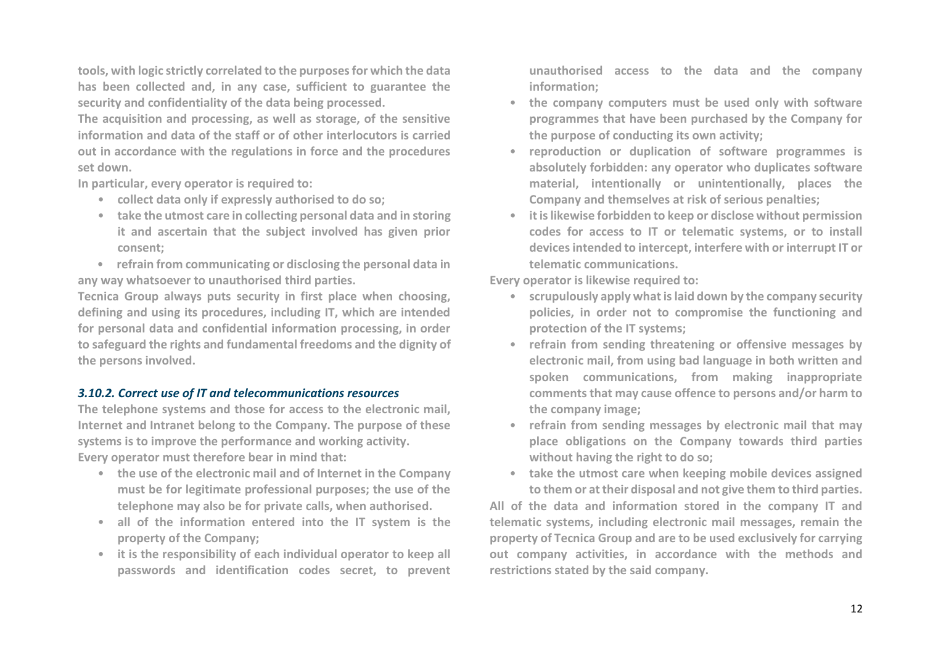**tools, with logic strictly correlated to the purposes for which the data has been collected and, in any case, sufficient to guarantee the security and confidentiality of the data being processed.** 

**The acquisition and processing, as well as storage, of the sensitive information and data of the staff or of other interlocutors is carried out in accordance with the regulations in force and the procedures set down.** 

**In particular, every operator is required to:**

- **collect data only if expressly authorised to do so;**
- **take the utmost care in collecting personal data and in storing it and ascertain that the subject involved has given prior consent;**
- **refrain from communicating or disclosing the personal data in any way whatsoever to unauthorised third parties.**

**Tecnica Group always puts security in first place when choosing, defining and using its procedures, including IT, which are intended for personal data and confidential information processing, in order to safeguard the rights and fundamental freedoms and the dignity of the persons involved.**

# *3.10.2. Correct use of IT and telecommunications resources*

**The telephone systems and those for access to the electronic mail, Internet and Intranet belong to the Company. The purpose of these systems is to improve the performance and working activity. Every operator must therefore bear in mind that:** 

- **the use of the electronic mail and of Internet in the Company must be for legitimate professional purposes; the use of the telephone may also be for private calls, when authorised.**
- **all of the information entered into the IT system is the property of the Company;**
- **it is the responsibility of each individual operator to keep all passwords and identification codes secret, to prevent**

**unauthorised access to the data and the company information;** 

- **the company computers must be used only with software programmes that have been purchased by the Company for the purpose of conducting its own activity;**
- **reproduction or duplication of software programmes is absolutely forbidden: any operator who duplicates software material, intentionally or unintentionally, places the Company and themselves at risk of serious penalties;**
- **it is likewise forbidden to keep or disclose without permission codes for access to IT or telematic systems, or to install devices intended to intercept, interfere with or interrupt IT or telematic communications.**

**Every operator is likewise required to:** 

- **scrupulously apply what is laid down by the company security policies, in order not to compromise the functioning and protection of the IT systems;**
- **refrain from sending threatening or offensive messages by electronic mail, from using bad language in both written and spoken communications, from making inappropriate comments that may cause offence to persons and/or harm to the company image;**
- **refrain from sending messages by electronic mail that may place obligations on the Company towards third parties without having the right to do so;**
- **take the utmost care when keeping mobile devices assigned to them or at their disposal and not give them to third parties.**

**All of the data and information stored in the company IT and telematic systems, including electronic mail messages, remain the property of Tecnica Group and are to be used exclusively for carrying out company activities, in accordance with the methods and restrictions stated by the said company.**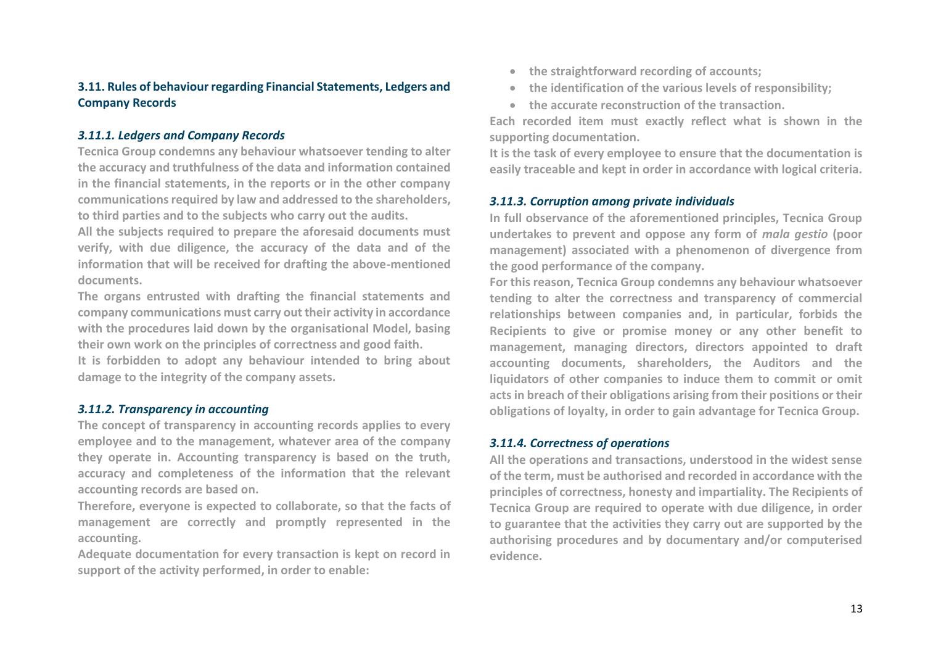# **3.11. Rules of behaviour regarding Financial Statements, Ledgers and Company Records**

# *3.11.1. Ledgers and Company Records*

**Tecnica Group condemns any behaviour whatsoever tending to alter the accuracy and truthfulness of the data and information contained in the financial statements, in the reports or in the other company communications required by law and addressed to the shareholders, to third parties and to the subjects who carry out the audits.**

**All the subjects required to prepare the aforesaid documents must verify, with due diligence, the accuracy of the data and of the information that will be received for drafting the above-mentioned documents.**

**The organs entrusted with drafting the financial statements and company communications must carry out their activity in accordance with the procedures laid down by the organisational Model, basing their own work on the principles of correctness and good faith.**

**It is forbidden to adopt any behaviour intended to bring about damage to the integrity of the company assets.**

# *3.11.2. Transparency in accounting*

**The concept of transparency in accounting records applies to every employee and to the management, whatever area of the company they operate in. Accounting transparency is based on the truth, accuracy and completeness of the information that the relevant accounting records are based on.**

**Therefore, everyone is expected to collaborate, so that the facts of management are correctly and promptly represented in the accounting.**

**Adequate documentation for every transaction is kept on record in support of the activity performed, in order to enable:**

- **the straightforward recording of accounts;**
- **the identification of the various levels of responsibility;**
- **the accurate reconstruction of the transaction.**

**Each recorded item must exactly reflect what is shown in the supporting documentation.**

**It is the task of every employee to ensure that the documentation is easily traceable and kept in order in accordance with logical criteria.**

# *3.11.3. Corruption among private individuals*

**In full observance of the aforementioned principles, Tecnica Group undertakes to prevent and oppose any form of** *mala gestio* **(poor management) associated with a phenomenon of divergence from the good performance of the company.**

**For this reason, Tecnica Group condemns any behaviour whatsoever tending to alter the correctness and transparency of commercial relationships between companies and, in particular, forbids the Recipients to give or promise money or any other benefit to management, managing directors, directors appointed to draft accounting documents, shareholders, the Auditors and the liquidators of other companies to induce them to commit or omit acts in breach of their obligations arising from their positions or their obligations of loyalty, in order to gain advantage for Tecnica Group.** 

# *3.11.4. Correctness of operations*

**All the operations and transactions, understood in the widest sense of the term, must be authorised and recorded in accordance with the principles of correctness, honesty and impartiality. The Recipients of Tecnica Group are required to operate with due diligence, in order to guarantee that the activities they carry out are supported by the authorising procedures and by documentary and/or computerised evidence.**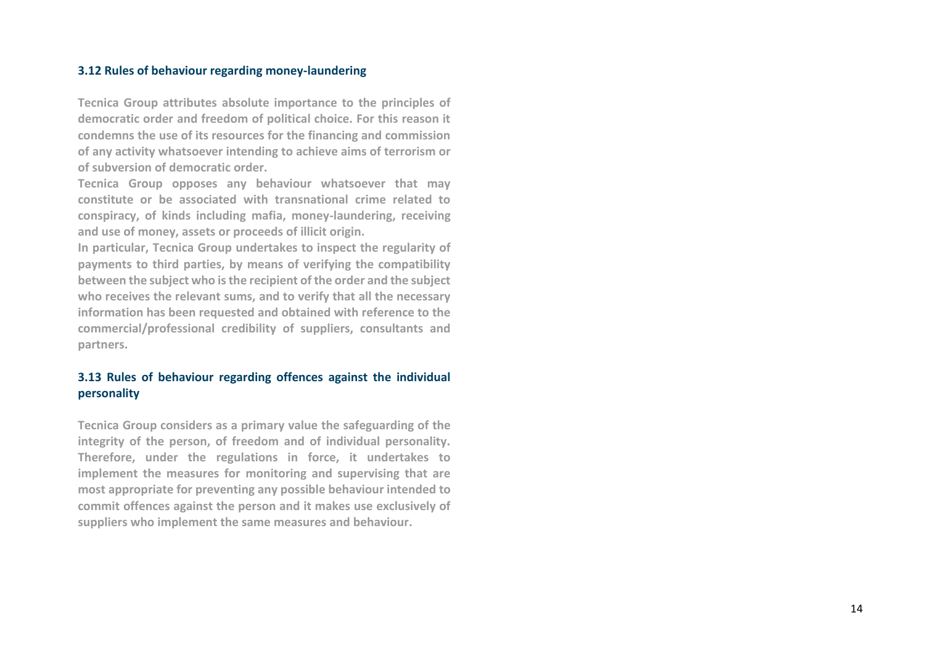## **3.12 Rules of behaviour regarding money -laundering**

**Tecnica Group attributes absolute importance to the principles of democratic order and freedom of political choice. For this reason it condemns the use of its resources for the financing and commission of any activity whatsoever intending to achieve aims of terrorism or of subversion of democratic order.**

**Tecnica Group opposes any behaviour whatsoever that may constitute or be associated with transnational crime related to conspiracy, of kinds including mafia, money -laundering, receiving and use of money, assets or proceeds of illicit origin.** 

**In particular, Tecnica Group undertakes to inspect the regularity of payments to third parties, by means of verifying the compatibility between the subject who is the recipient of the order and the subject who receives the relevant sums, and to verify that all the necessary information has been requested and obtained with reference to the commercial/professional credibility of suppliers, consultants and partners.**

# **3.13 Rules of behaviour regarding offences against the individual personality**

**Tecnica Group considers as a primary value the safeguarding of the integrity of the person, of freedom and of individual personality. Therefore, under the regulations in force, it undertakes to implement the measures for monitoring and supervising that are most appropriate for preventing any possible behaviour intended to commit offences against the person and it makes use exclusively of suppliers who implement the same measures and behaviour.**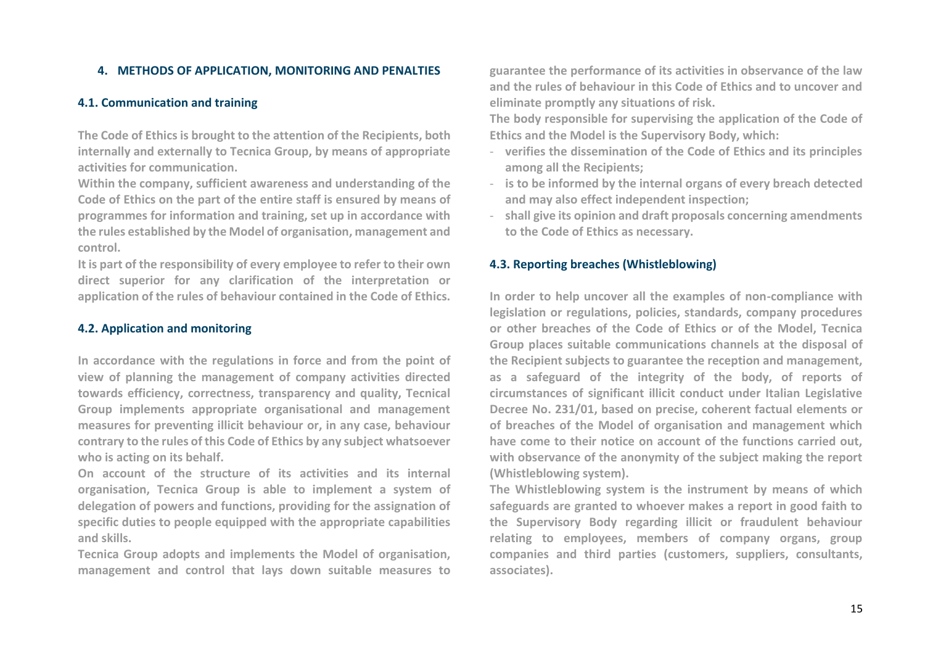# **4. METHODS OF APPLICATION, MONITORING AND PENALTIES**

## **4.1. Communication and training**

**The Code of Ethics is brought to the attention of the Recipients, both internally and externally to Tecnica Group, by means of appropriate activities for communication.**

**Within the company, sufficient awareness and understanding of the Code of Ethics on the part of the entire staff is ensured by means of programmes for information and training, set up in accordance with the rules established by the Model of organisation, management and control.**

**It is part of the responsibility of every employee to refer to their own direct superior for any clarification of the interpretation or application of the rules of behaviour contained in the Code of Ethics.**

# **4.2. Application and monitoring**

**In accordance with the regulations in force and from the point of view of planning the management of company activities directed towards efficiency, correctness, transparency and quality, Tecnical Group implements appropriate organisational and management measures for preventing illicit behaviour or, in any case, behaviour contrary to the rules of this Code of Ethics by any subject whatsoever who is acting on its behalf.**

**On account of the structure of its activities and its internal organisation, Tecnica Group is able to implement a system of delegation of powers and functions, providing for the assignation of specific duties to people equipped with the appropriate capabilities and skills.**

**Tecnica Group adopts and implements the Model of organisation, management and control that lays down suitable measures to**  **guarantee the performance of its activities in observance of the law and the rules of behaviour in this Code of Ethics and to uncover and eliminate promptly any situations of risk.**

**The body responsible for supervising the application of the Code of Ethics and the Model is the Supervisory Body, which:**

- **verifies the dissemination of the Code of Ethics and its principles among all the Recipients;**
- **is to be informed by the internal organs of every breach detected and may also effect independent inspection;**
- **shall give its opinion and draft proposals concerning amendments to the Code of Ethics as necessary.**

## **4.3. Reporting breaches (Whistleblowing)**

**In order to help uncover all the examples of non-compliance with legislation or regulations, policies, standards, company procedures or other breaches of the Code of Ethics or of the Model, Tecnica Group places suitable communications channels at the disposal of the Recipient subjects to guarantee the reception and management, as a safeguard of the integrity of the body, of reports of circumstances of significant illicit conduct under Italian Legislative Decree No. 231/01, based on precise, coherent factual elements or of breaches of the Model of organisation and management which have come to their notice on account of the functions carried out, with observance of the anonymity of the subject making the report (Whistleblowing system).**

**The Whistleblowing system is the instrument by means of which safeguards are granted to whoever makes a report in good faith to the Supervisory Body regarding illicit or fraudulent behaviour relating to employees, members of company organs, group companies and third parties (customers, suppliers, consultants, associates).**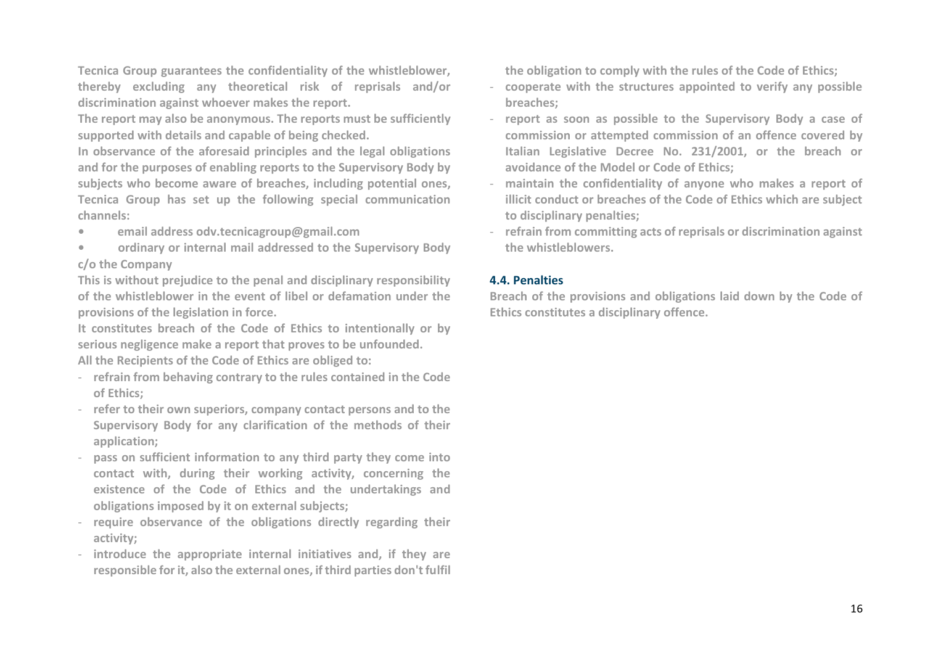**Tecnica Group guarantees the confidentiality of the whistleblower, thereby excluding any theoretical risk of reprisals and/or discrimination against whoever makes the report.**

**The report may also be anonymous. The reports must be sufficiently supported with details and capable of being checked.**

**In observance of the aforesaid principles and the legal obligations and for the purposes of enabling reports to the Supervisory Body by subjects who become aware of breaches, including potential ones, Tecnica Group has set up the following special communication channels:**

- **• email address odv.tecnicagroup@gmail.com**
- **• ordinary or internal mail addressed to the Supervisory Body c/o the Company**

**This is without prejudice to the penal and disciplinary responsibility of the whistleblower in the event of libel or defamation under the provisions of the legislation in force.**

**It constitutes breach of the Code of Ethics to intentionally or by serious negligence make a report that proves to be unfounded.**

**All the Recipients of the Code of Ethics are obliged to:**

- **refrain from behaving contrary to the rules contained in the Code of Ethics;**
- **refer to their own superiors, company contact persons and to the Supervisory Body for any clarification of the methods of their application;**
- **pass on sufficient information to any third party they come into contact with, during their working activity, concerning the existence of the Code of Ethics and the undertakings and obligations imposed by it on external subjects;**
- **require observance of the obligations directly regarding their activity;**
- **introduce the appropriate internal initiatives and, if they are responsible for it, also the external ones, if third parties don't fulfil**

**the obligation to comply with the rules of the Code of Ethics;**

- **cooperate with the structures appointed to verify any possible breaches;**
- **report as soon as possible to the Supervisory Body a case of commission or attempted commission of an offence covered by Italian Legislative Decree No. 231/2001, or the breach or avoidance of the Model or Code of Ethics;**
- **maintain the confidentiality of anyone who makes a report of illicit conduct or breaches of the Code of Ethics which are subject to disciplinary penalties;**
- **refrain from committing acts of reprisals or discrimination against the whistleblowers.**

# **4.4. Penalties**

**Breach of the provisions and obligations laid down by the Code of Ethics constitutes a disciplinary offence.**